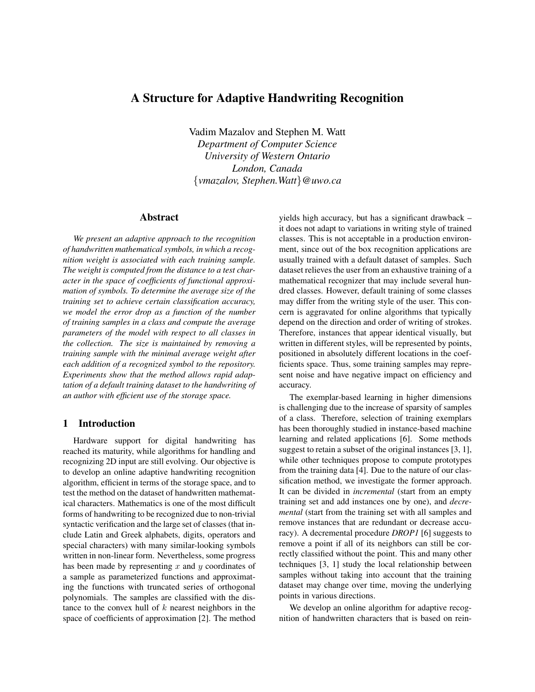# A Structure for Adaptive Handwriting Recognition

Vadim Mazalov and Stephen M. Watt *Department of Computer Science University of Western Ontario London, Canada* {*vmazalov, Stephen.Watt*}*@uwo.ca*

#### Abstract

*We present an adaptive approach to the recognition of handwritten mathematical symbols, in which a recognition weight is associated with each training sample. The weight is computed from the distance to a test character in the space of coefficients of functional approximation of symbols. To determine the average size of the training set to achieve certain classification accuracy, we model the error drop as a function of the number of training samples in a class and compute the average parameters of the model with respect to all classes in the collection. The size is maintained by removing a training sample with the minimal average weight after each addition of a recognized symbol to the repository. Experiments show that the method allows rapid adaptation of a default training dataset to the handwriting of an author with efficient use of the storage space.*

#### 1 Introduction

Hardware support for digital handwriting has reached its maturity, while algorithms for handling and recognizing 2D input are still evolving. Our objective is to develop an online adaptive handwriting recognition algorithm, efficient in terms of the storage space, and to test the method on the dataset of handwritten mathematical characters. Mathematics is one of the most difficult forms of handwriting to be recognized due to non-trivial syntactic verification and the large set of classes (that include Latin and Greek alphabets, digits, operators and special characters) with many similar-looking symbols written in non-linear form. Nevertheless, some progress has been made by representing  $x$  and  $y$  coordinates of a sample as parameterized functions and approximating the functions with truncated series of orthogonal polynomials. The samples are classified with the distance to the convex hull of  $k$  nearest neighbors in the space of coefficients of approximation [2]. The method yields high accuracy, but has a significant drawback – it does not adapt to variations in writing style of trained classes. This is not acceptable in a production environment, since out of the box recognition applications are usually trained with a default dataset of samples. Such dataset relieves the user from an exhaustive training of a mathematical recognizer that may include several hundred classes. However, default training of some classes may differ from the writing style of the user. This concern is aggravated for online algorithms that typically depend on the direction and order of writing of strokes. Therefore, instances that appear identical visually, but written in different styles, will be represented by points, positioned in absolutely different locations in the coefficients space. Thus, some training samples may represent noise and have negative impact on efficiency and accuracy.

The exemplar-based learning in higher dimensions is challenging due to the increase of sparsity of samples of a class. Therefore, selection of training exemplars has been thoroughly studied in instance-based machine learning and related applications [6]. Some methods suggest to retain a subset of the original instances [3, 1], while other techniques propose to compute prototypes from the training data [4]. Due to the nature of our classification method, we investigate the former approach. It can be divided in *incremental* (start from an empty training set and add instances one by one), and *decremental* (start from the training set with all samples and remove instances that are redundant or decrease accuracy). A decremental procedure *DROP1* [6] suggests to remove a point if all of its neighbors can still be correctly classified without the point. This and many other techniques [3, 1] study the local relationship between samples without taking into account that the training dataset may change over time, moving the underlying points in various directions.

We develop an online algorithm for adaptive recognition of handwritten characters that is based on rein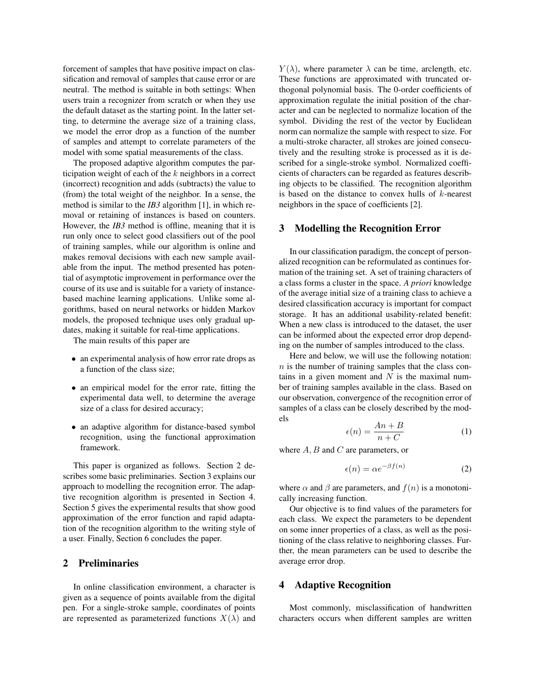forcement of samples that have positive impact on classification and removal of samples that cause error or are neutral. The method is suitable in both settings: When users train a recognizer from scratch or when they use the default dataset as the starting point. In the latter setting, to determine the average size of a training class, we model the error drop as a function of the number of samples and attempt to correlate parameters of the model with some spatial measurements of the class.

The proposed adaptive algorithm computes the participation weight of each of the  $k$  neighbors in a correct (incorrect) recognition and adds (subtracts) the value to (from) the total weight of the neighbor. In a sense, the method is similar to the *IB3* algorithm [1], in which removal or retaining of instances is based on counters. However, the *IB3* method is offline, meaning that it is run only once to select good classifiers out of the pool of training samples, while our algorithm is online and makes removal decisions with each new sample available from the input. The method presented has potential of asymptotic improvement in performance over the course of its use and is suitable for a variety of instancebased machine learning applications. Unlike some algorithms, based on neural networks or hidden Markov models, the proposed technique uses only gradual updates, making it suitable for real-time applications.

The main results of this paper are

- an experimental analysis of how error rate drops as a function of the class size;
- an empirical model for the error rate, fitting the experimental data well, to determine the average size of a class for desired accuracy;
- an adaptive algorithm for distance-based symbol recognition, using the functional approximation framework.

This paper is organized as follows. Section 2 describes some basic preliminaries. Section 3 explains our approach to modelling the recognition error. The adaptive recognition algorithm is presented in Section 4. Section 5 gives the experimental results that show good approximation of the error function and rapid adaptation of the recognition algorithm to the writing style of a user. Finally, Section 6 concludes the paper.

## 2 Preliminaries

In online classification environment, a character is given as a sequence of points available from the digital pen. For a single-stroke sample, coordinates of points are represented as parameterized functions  $X(\lambda)$  and

 $Y(\lambda)$ , where parameter  $\lambda$  can be time, arclength, etc. These functions are approximated with truncated orthogonal polynomial basis. The 0-order coefficients of approximation regulate the initial position of the character and can be neglected to normalize location of the symbol. Dividing the rest of the vector by Euclidean norm can normalize the sample with respect to size. For a multi-stroke character, all strokes are joined consecutively and the resulting stroke is processed as it is described for a single-stroke symbol. Normalized coefficients of characters can be regarded as features describing objects to be classified. The recognition algorithm is based on the distance to convex hulls of  $k$ -nearest neighbors in the space of coefficients [2].

#### 3 Modelling the Recognition Error

In our classification paradigm, the concept of personalized recognition can be reformulated as continues formation of the training set. A set of training characters of a class forms a cluster in the space. *A priori* knowledge of the average initial size of a training class to achieve a desired classification accuracy is important for compact storage. It has an additional usability-related benefit: When a new class is introduced to the dataset, the user can be informed about the expected error drop depending on the number of samples introduced to the class.

Here and below, we will use the following notation:  $n$  is the number of training samples that the class contains in a given moment and  $N$  is the maximal number of training samples available in the class. Based on our observation, convergence of the recognition error of samples of a class can be closely described by the models

$$
\epsilon(n) = \frac{An + B}{n + C} \tag{1}
$$

where  $A, B$  and  $C$  are parameters, or

$$
\epsilon(n) = \alpha e^{-\beta f(n)} \tag{2}
$$

where  $\alpha$  and  $\beta$  are parameters, and  $f(n)$  is a monotonically increasing function.

Our objective is to find values of the parameters for each class. We expect the parameters to be dependent on some inner properties of a class, as well as the positioning of the class relative to neighboring classes. Further, the mean parameters can be used to describe the average error drop.

#### 4 Adaptive Recognition

Most commonly, misclassification of handwritten characters occurs when different samples are written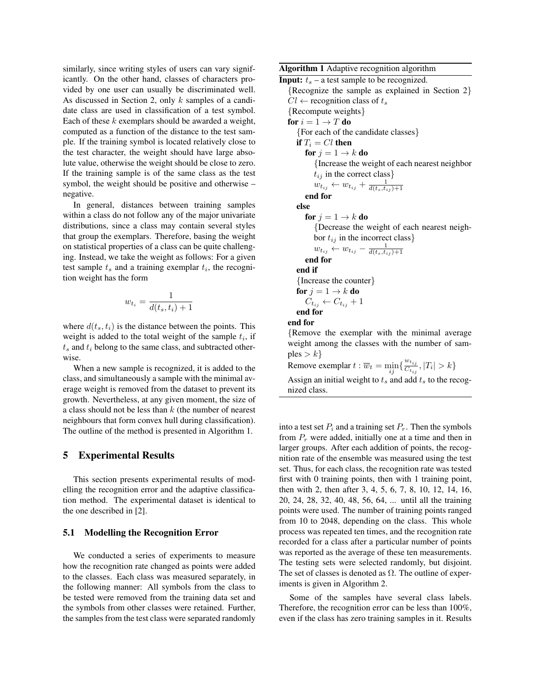similarly, since writing styles of users can vary significantly. On the other hand, classes of characters provided by one user can usually be discriminated well. As discussed in Section 2, only k samples of a candidate class are used in classification of a test symbol. Each of these  $k$  exemplars should be awarded a weight, computed as a function of the distance to the test sample. If the training symbol is located relatively close to the test character, the weight should have large absolute value, otherwise the weight should be close to zero. If the training sample is of the same class as the test symbol, the weight should be positive and otherwise – negative.

In general, distances between training samples within a class do not follow any of the major univariate distributions, since a class may contain several styles that group the exemplars. Therefore, basing the weight on statistical properties of a class can be quite challenging. Instead, we take the weight as follows: For a given test sample  $t_s$  and a training exemplar  $t_i$ , the recognition weight has the form

$$
w_{t_i} = \frac{1}{d(t_s, t_i) + 1}
$$

where  $d(t_s, t_i)$  is the distance between the points. This weight is added to the total weight of the sample  $t_i$ , if  $t_s$  and  $t_i$  belong to the same class, and subtracted otherwise.

When a new sample is recognized, it is added to the class, and simultaneously a sample with the minimal average weight is removed from the dataset to prevent its growth. Nevertheless, at any given moment, the size of a class should not be less than  $k$  (the number of nearest neighbours that form convex hull during classification). The outline of the method is presented in Algorithm 1.

#### 5 Experimental Results

This section presents experimental results of modelling the recognition error and the adaptive classification method. The experimental dataset is identical to the one described in [2].

#### 5.1 Modelling the Recognition Error

We conducted a series of experiments to measure how the recognition rate changed as points were added to the classes. Each class was measured separately, in the following manner: All symbols from the class to be tested were removed from the training data set and the symbols from other classes were retained. Further, the samples from the test class were separated randomly Algorithm 1 Adaptive recognition algorithm

**Input:**  $t_s$  – a test sample to be recognized. {Recognize the sample as explained in Section 2}  $Cl \leftarrow$  recognition class of  $t_s$ {Recompute weights} for  $i = 1 \rightarrow T$  do {For each of the candidate classes} if  $T_i = Cl$  then for  $j = 1 \rightarrow k$  do {Increase the weight of each nearest neighbor  $t_{ij}$  in the correct class}  $w_{t_{ij}} \leftarrow w_{t_{ij}} + \frac{1}{d(t_s,t_{ij})+1}$ end for else for  $j = 1 \rightarrow k$  do {Decrease the weight of each nearest neighbor  $t_{ij}$  in the incorrect class}  $w_{t_{ij}} \leftarrow w_{t_{ij}} - \frac{1}{d(t_s,t_{ij})+1}$ end for end if {Increase the counter} for  $j = 1 \rightarrow k$  do  $C_{t_{ij}} \leftarrow C_{t_{ij}} + 1$ end for end for {Remove the exemplar with the minimal average weight among the classes with the number of samples  $> k$ } Remove exemplar  $t : \overline{w}_t = \min_{ij} \{ \frac{w_{t_{ij}}}{C_{t_{ij}}} \}$  $\frac{C_{t_{ij}}}{C_{t_{ij}}}, |T_i| > k$ Assign an initial weight to  $t_s$  and add  $t_s$  to the recognized class.

into a test set  $P_i$  and a training set  $P_r$ . Then the symbols from  $P_r$  were added, initially one at a time and then in larger groups. After each addition of points, the recognition rate of the ensemble was measured using the test set. Thus, for each class, the recognition rate was tested first with 0 training points, then with 1 training point, then with 2, then after 3, 4, 5, 6, 7, 8, 10, 12, 14, 16, 20, 24, 28, 32, 40, 48, 56, 64, ... until all the training points were used. The number of training points ranged from 10 to 2048, depending on the class. This whole process was repeated ten times, and the recognition rate recorded for a class after a particular number of points was reported as the average of these ten measurements. The testing sets were selected randomly, but disjoint. The set of classes is denoted as  $\Omega$ . The outline of experiments is given in Algorithm 2.

Some of the samples have several class labels. Therefore, the recognition error can be less than 100%, even if the class has zero training samples in it. Results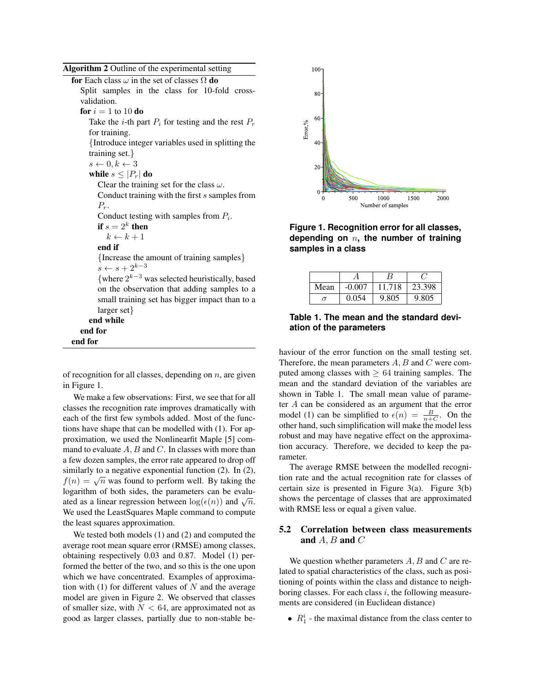Algorithm 2 Outline of the experimental setting

| for Each class $\omega$ in the set of classes $\Omega$ do |  |                                               |  |  |  |  |  |  |
|-----------------------------------------------------------|--|-----------------------------------------------|--|--|--|--|--|--|
|                                                           |  | Split samples in the class for 10-fold cross- |  |  |  |  |  |  |
| validation.                                               |  |                                               |  |  |  |  |  |  |

for  $i = 1$  to 10 do

Take the *i*-th part  $P_i$  for testing and the rest  $P_r$ for training.

{Introduce integer variables used in splitting the training set.}

 $s \leftarrow 0, k \leftarrow 3$ while  $s \leq |P_r|$  do Clear the training set for the class  $\omega$ .

Conduct training with the first s samples from  $P_r$ .

Conduct testing with samples from  $P_i$ .

if  $s=2^k$  then

 $k \leftarrow k + 1$ 

end if

{Increase the amount of training samples}  $s \leftarrow s + 2^{k-3}$ 

{where  $2^{k-3}$  was selected heuristically, based on the observation that adding samples to a small training set has bigger impact than to a larger set}

end while

end for end for

of recognition for all classes, depending on  $n$ , are given in Figure 1.

We make a few observations: First, we see that for all classes the recognition rate improves dramatically with each of the first few symbols added. Most of the functions have shape that can be modelled with (1). For approximation, we used the Nonlinearfit Maple [5] command to evaluate  $A, B$  and  $C$ . In classes with more than a few dozen samples, the error rate appeared to drop off similarly to a negative exponential function (2). In (2), similarly to a negative exponential function (2). In (2),  $f(n) = \sqrt{n}$  was found to perform well. By taking the logarithm of both sides, the parameters can be evaludenote all integration between  $log(\epsilon(n))$  and  $\sqrt{n}$ . We used the LeastSquares Maple command to compute the least squares approximation.

We tested both models (1) and (2) and computed the average root mean square error (RMSE) among classes, obtaining respectively 0.03 and 0.87. Model (1) performed the better of the two, and so this is the one upon which we have concentrated. Examples of approximation with (1) for different values of  $N$  and the average model are given in Figure 2. We observed that classes of smaller size, with  $N < 64$ , are approximated not as good as larger classes, partially due to non-stable be-



**Figure 1. Recognition error for all classes, depending on** n**, the number of training samples in a class**

| Mean     | $-0.007$ | 11.718 | 23.398 |
|----------|----------|--------|--------|
| $\sigma$ | 0.054    | 9.805  | 9.805  |

### **Table 1. The mean and the standard deviation of the parameters**

haviour of the error function on the small testing set. Therefore, the mean parameters  $A, B$  and  $C$  were computed among classes with  $\geq 64$  training samples. The mean and the standard deviation of the variables are shown in Table 1. The small mean value of parameter A can be considered as an argument that the error model (1) can be simplified to  $\epsilon(n) = \frac{B}{n+C}$ . On the other hand, such simplification will make the model less robust and may have negative effect on the approximation accuracy. Therefore, we decided to keep the parameter.

The average RMSE between the modelled recognition rate and the actual recognition rate for classes of certain size is presented in Figure 3(a). Figure 3(b) shows the percentage of classes that are approximated with RMSE less or equal a given value.

#### 5.2 Correlation between class measurements and  $A, B$  and  $C$

We question whether parameters  $A, B$  and  $C$  are related to spatial characteristics of the class, such as positioning of points within the class and distance to neighboring classes. For each class  $i$ , the following measurements are considered (in Euclidean distance)

•  $R_1^i$  - the maximal distance from the class center to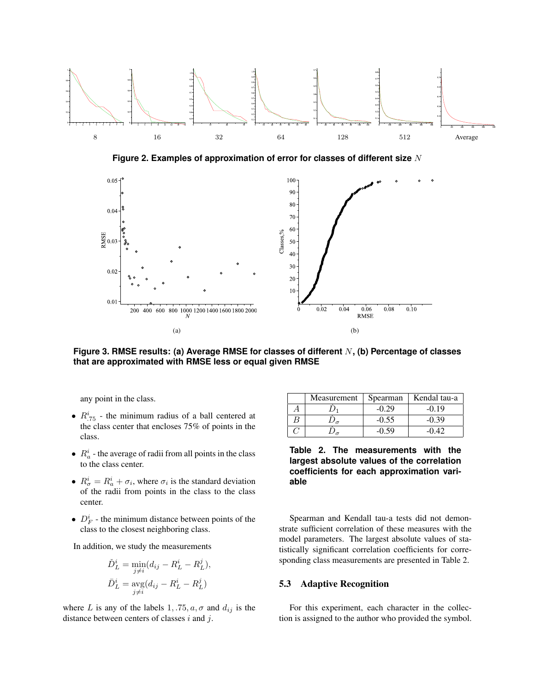

**Figure 2. Examples of approximation of error for classes of different size** N



**Figure 3. RMSE results: (a) Average RMSE for classes of different** N**, (b) Percentage of classes that are approximated with RMSE less or equal given RMSE**

any point in the class.

- $R_{.75}^{i}$  the minimum radius of a ball centered at the class center that encloses 75% of points in the class.
- $R_a^i$  the average of radii from all points in the class to the class center.
- $R^i_{\sigma} = R^i_{a} + \sigma_i$ , where  $\sigma_i$  is the standard deviation of the radii from points in the class to the class center.
- $D_F^i$  the minimum distance between points of the class to the closest neighboring class.

In addition, we study the measurements

$$
\tilde{D}_L^i = \min_{j \neq i} (d_{ij} - R_L^i - R_L^j),
$$
  

$$
\bar{D}_L^i = \operatorname{avg}(d_{ij} - R_L^i - R_L^j)
$$

where L is any of the labels  $1, .75, a, \sigma$  and  $d_{ij}$  is the distance between centers of classes  $i$  and  $j$ .

| Measurement | Spearman | Kendal tau-a |
|-------------|----------|--------------|
|             | $-0.29$  | $-0.19$      |
|             | $-0.55$  | $-0.39$      |
|             | $-0.59$  | $-0.42$      |

**Table 2. The measurements with the largest absolute values of the correlation coefficients for each approximation variable**

Spearman and Kendall tau-a tests did not demonstrate sufficient correlation of these measures with the model parameters. The largest absolute values of statistically significant correlation coefficients for corresponding class measurements are presented in Table 2.

#### 5.3 Adaptive Recognition

For this experiment, each character in the collection is assigned to the author who provided the symbol.